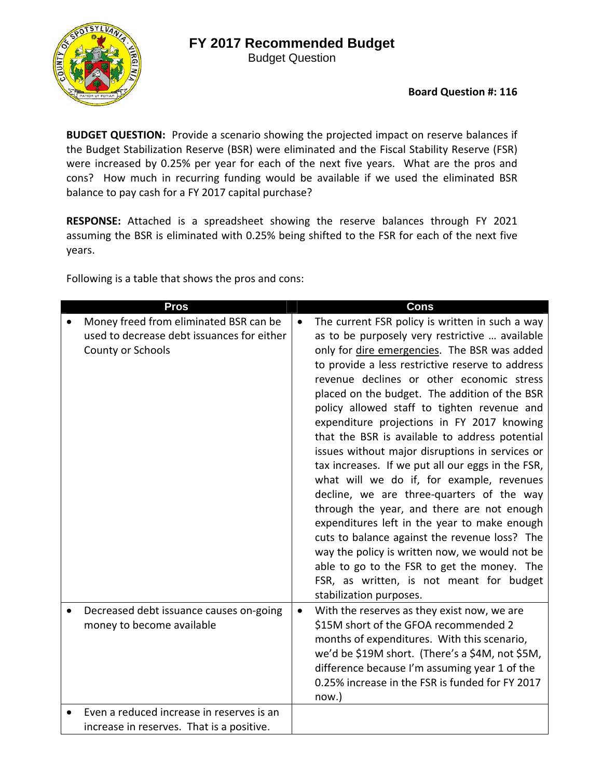## **FY 2017 Recommended Budget**

Budget Question



**BUDGET QUESTION:** Provide a scenario showing the projected impact on reserve balances if the Budget Stabilization Reserve (BSR) were eliminated and the Fiscal Stability Reserve (FSR) were increased by 0.25% per year for each of the next five years. What are the pros and cons? How much in recurring funding would be available if we used the eliminated BSR balance to pay cash for a FY 2017 capital purchase?

**RESPONSE:** Attached is a spreadsheet showing the reserve balances through FY 2021 assuming the BSR is eliminated with 0.25% being shifted to the FSR for each of the next five years.

Following is a table that shows the pros and cons:

| <b>Pros</b>                                                                                               | <b>Cons</b>                                                                                                                                                                                                                                                                                                                                                                                                                                                                                                                                                                                                                                                                                                                                                                                                                                                                                                                                                   |
|-----------------------------------------------------------------------------------------------------------|---------------------------------------------------------------------------------------------------------------------------------------------------------------------------------------------------------------------------------------------------------------------------------------------------------------------------------------------------------------------------------------------------------------------------------------------------------------------------------------------------------------------------------------------------------------------------------------------------------------------------------------------------------------------------------------------------------------------------------------------------------------------------------------------------------------------------------------------------------------------------------------------------------------------------------------------------------------|
| Money freed from eliminated BSR can be<br>used to decrease debt issuances for either<br>County or Schools | The current FSR policy is written in such a way<br>$\bullet$<br>as to be purposely very restrictive  available<br>only for dire emergencies. The BSR was added<br>to provide a less restrictive reserve to address<br>revenue declines or other economic stress<br>placed on the budget. The addition of the BSR<br>policy allowed staff to tighten revenue and<br>expenditure projections in FY 2017 knowing<br>that the BSR is available to address potential<br>issues without major disruptions in services or<br>tax increases. If we put all our eggs in the FSR,<br>what will we do if, for example, revenues<br>decline, we are three-quarters of the way<br>through the year, and there are not enough<br>expenditures left in the year to make enough<br>cuts to balance against the revenue loss? The<br>way the policy is written now, we would not be<br>able to go to the FSR to get the money. The<br>FSR, as written, is not meant for budget |
| Decreased debt issuance causes on-going<br>money to become available                                      | stabilization purposes.<br>With the reserves as they exist now, we are<br>$\bullet$<br>\$15M short of the GFOA recommended 2<br>months of expenditures. With this scenario,<br>we'd be \$19M short. (There's a \$4M, not \$5M,<br>difference because I'm assuming year 1 of the<br>0.25% increase in the FSR is funded for FY 2017<br>now.)                                                                                                                                                                                                                                                                                                                                                                                                                                                                                                                                                                                                                   |
| Even a reduced increase in reserves is an                                                                 |                                                                                                                                                                                                                                                                                                                                                                                                                                                                                                                                                                                                                                                                                                                                                                                                                                                                                                                                                               |
| increase in reserves. That is a positive.                                                                 |                                                                                                                                                                                                                                                                                                                                                                                                                                                                                                                                                                                                                                                                                                                                                                                                                                                                                                                                                               |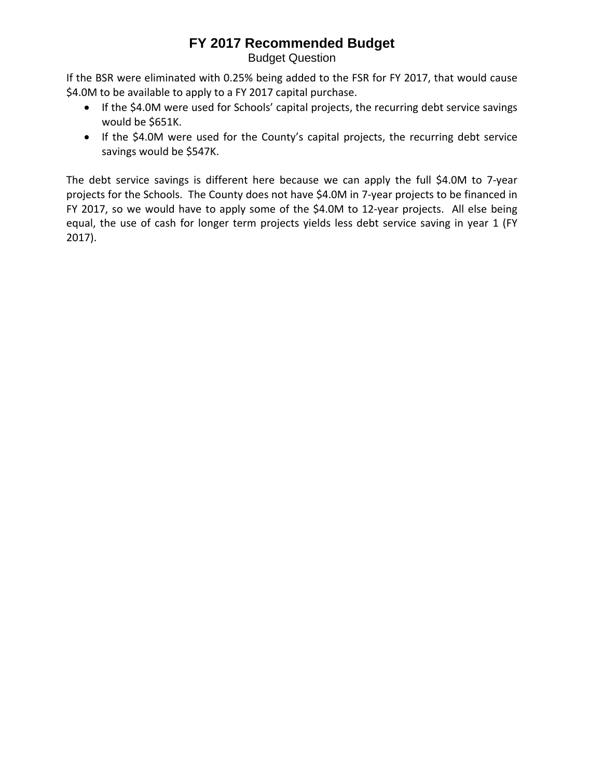## **FY 2017 Recommended Budget**

Budget Question

If the BSR were eliminated with 0.25% being added to the FSR for FY 2017, that would cause \$4.0M to be available to apply to a FY 2017 capital purchase.

- If the \$4.0M were used for Schools' capital projects, the recurring debt service savings would be \$651K.
- If the \$4.0M were used for the County's capital projects, the recurring debt service savings would be \$547K.

The debt service savings is different here because we can apply the full \$4.0M to 7‐year projects for the Schools. The County does not have \$4.0M in 7‐year projects to be financed in FY 2017, so we would have to apply some of the \$4.0M to 12-year projects. All else being equal, the use of cash for longer term projects yields less debt service saving in year 1 (FY 2017).